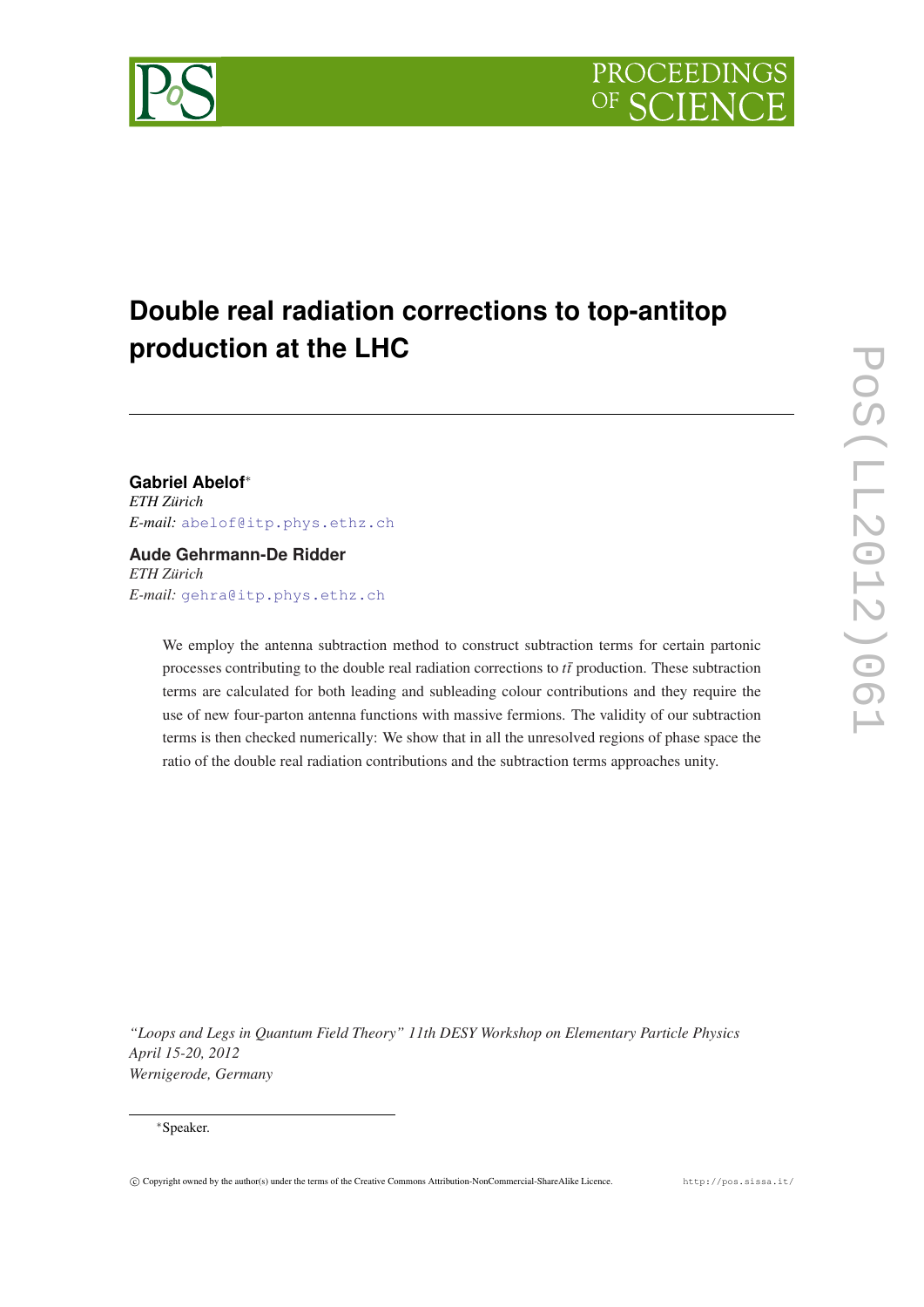# <span id="page-0-0"></span>**Double real radiation corrections to top-antitop production at the LHC**

## **Gabriel Abelof**<sup>∗</sup>

*ETH Zürich E-mail:* [abelof@itp.phys.ethz.ch](mailto:abelof@itp.phys.ethz.ch)

### **Aude Gehrmann-De Ridder** *ETH Zürich E-mail:* [gehra@itp.phys.ethz.ch](mailto:gehra@itp.phys.ethz.ch)

We employ the antenna subtraction method to construct subtraction terms for certain partonic processes contributing to the double real radiation corrections to *tt*¯ production. These subtraction terms are calculated for both leading and subleading colour contributions and they require the use of new four-parton antenna functions with massive fermions. The validity of our subtraction terms is then checked numerically: We show that in all the unresolved regions of phase space the ratio of the double real radiation contributions and the subtraction terms approaches unity.

*"Loops and Legs in Quantum Field Theory" 11th DESY Workshop on Elementary Particle Physics April 15-20, 2012 Wernigerode, Germany*

#### <sup>∗</sup>Speaker.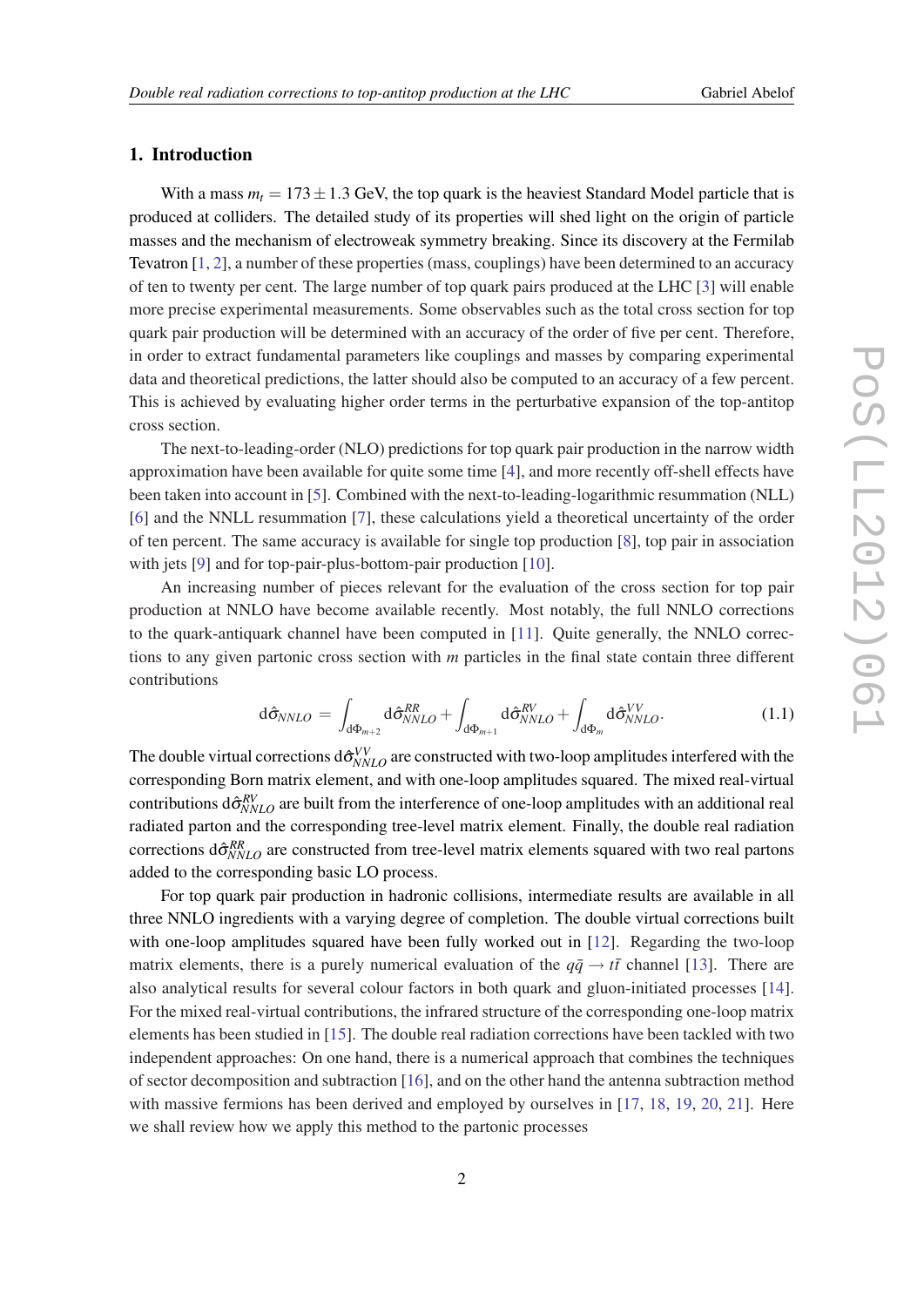### <span id="page-1-0"></span>1. Introduction

With a mass  $m_t = 173 \pm 1.3$  GeV, the top quark is the heaviest Standard Model particle that is produced at colliders. The detailed study of its properties will shed light on the origin of particle masses and the mechanism of electroweak symmetry breaking. Since its discovery at the Fermilab Tevatron [\[1,](#page-6-0) [2\]](#page-6-0), a number of these properties (mass, couplings) have been determined to an accuracy of ten to twenty per cent. The large number of top quark pairs produced at the LHC [\[3\]](#page-6-0) will enable more precise experimental measurements. Some observables such as the total cross section for top quark pair production will be determined with an accuracy of the order of five per cent. Therefore, in order to extract fundamental parameters like couplings and masses by comparing experimental data and theoretical predictions, the latter should also be computed to an accuracy of a few percent. This is achieved by evaluating higher order terms in the perturbative expansion of the top-antitop cross section.

The next-to-leading-order (NLO) predictions for top quark pair production in the narrow width approximation have been available for quite some time [[4](#page-6-0)], and more recently off-shell effects have been taken into account in [[5](#page-6-0)]. Combined with the next-to-leading-logarithmic resummation (NLL) [[6](#page-7-0)] and the NNLL resummation [\[7\]](#page-7-0), these calculations yield a theoretical uncertainty of the order of ten percent. The same accuracy is available for single top production [\[8\]](#page-7-0), top pair in association with jets [[9](#page-7-0)] and for top-pair-plus-bottom-pair production [\[10](#page-7-0)].

An increasing number of pieces relevant for the evaluation of the cross section for top pair production at NNLO have become available recently. Most notably, the full NNLO corrections to the quark-antiquark channel have been computed in [\[11\]](#page-7-0). Quite generally, the NNLO corrections to any given partonic cross section with *m* particles in the final state contain three different contributions

$$
d\hat{\sigma}_{NNLO} = \int_{d\Phi_{m+2}} d\hat{\sigma}_{NNLO}^{RR} + \int_{d\Phi_{m+1}} d\hat{\sigma}_{NNLO}^{RV} + \int_{d\Phi_m} d\hat{\sigma}_{NNLO}^{VV}.
$$
 (1.1)

The double virtual corrections  $d\hat{\sigma}_{NNLO}^{VV}$  are constructed with two-loop amplitudes interfered with the corresponding Born matrix element, and with one-loop amplitudes squared. The mixed real-virtual contributions  $d\hat{\sigma}_{NNLO}^{RV}$  are built from the interference of one-loop amplitudes with an additional real radiated parton and the corresponding tree-level matrix element. Finally, the double real radiation corrections  $d\hat{\sigma}_{NNLO}^{RR}$  are constructed from tree-level matrix elements squared with two real partons added to the corresponding basic LO process.

For top quark pair production in hadronic collisions, intermediate results are available in all three NNLO ingredients with a varying degree of completion. The double virtual corrections built with one-loop amplitudes squared have been fully worked out in [\[12](#page-7-0)]. Regarding the two-loop matrix elements, there is a purely numerical evaluation of the  $q\bar{q} \rightarrow t\bar{t}$  channel [\[13](#page-7-0)]. There are also analytical results for several colour factors in both quark and gluon-initiated processes [[14\]](#page-7-0). For the mixed real-virtual contributions, the infrared structure of the corresponding one-loop matrix elements has been studied in [\[15](#page-7-0)]. The double real radiation corrections have been tackled with two independent approaches: On one hand, there is a numerical approach that combines the techniques of sector decomposition and subtraction [[16\]](#page-7-0), and on the other hand the antenna subtraction method with massive fermions has been derived and employed by ourselves in [\[17](#page-8-0), [18](#page-8-0), [19,](#page-8-0) [20,](#page-8-0) [21\]](#page-8-0). Here we shall review how we apply this method to the partonic processes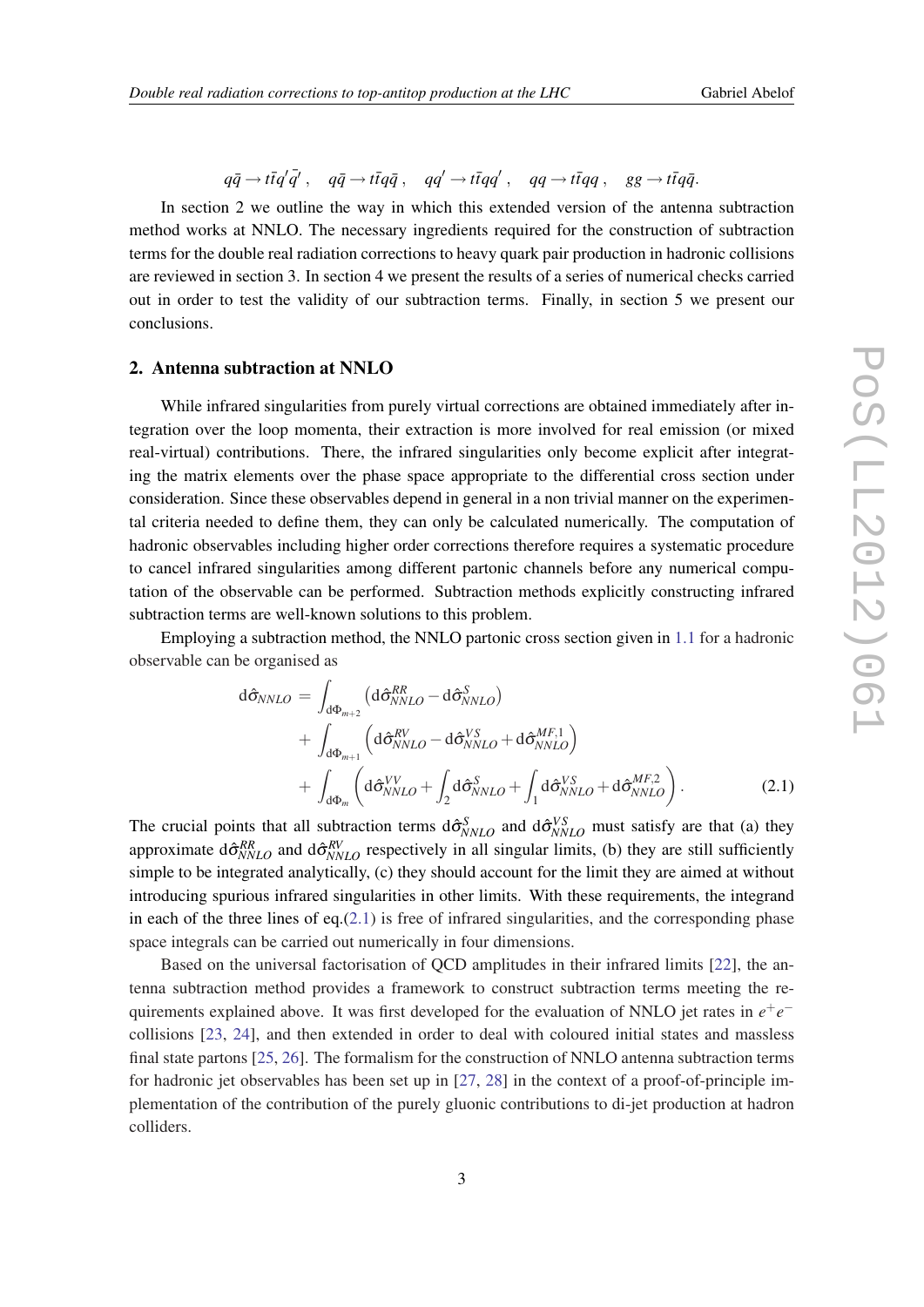# $q\bar{q} \rightarrow t\bar{t}q'\bar{q}'$  ,  $q\bar{q} \rightarrow t\bar{t}q\bar{q}$  ,  $qq'\rightarrow t\bar{t}qq'$  ,  $qq\rightarrow t\bar{t}qq$  ,  $gg\rightarrow t\bar{t}q\bar{q}$ .

In section 2 we outline the way in which this extended version of the antenna subtraction method works at NNLO. The necessary ingredients required for the construction of subtraction terms for the double real radiation corrections to heavy quark pair production in hadronic collisions are reviewed in section 3. In section 4 we present the results of a series of numerical checks carried out in order to test the validity of our subtraction terms. Finally, in section 5 we present our conclusions.

#### 2. Antenna subtraction at NNLO

While infrared singularities from purely virtual corrections are obtained immediately after integration over the loop momenta, their extraction is more involved for real emission (or mixed real-virtual) contributions. There, the infrared singularities only become explicit after integrating the matrix elements over the phase space appropriate to the differential cross section under consideration. Since these observables depend in general in a non trivial manner on the experimental criteria needed to define them, they can only be calculated numerically. The computation of hadronic observables including higher order corrections therefore requires a systematic procedure to cancel infrared singularities among different partonic channels before any numerical computation of the observable can be performed. Subtraction methods explicitly constructing infrared subtraction terms are well-known solutions to this problem.

Employing a subtraction method, the NNLO partonic cross section given in [1.1](#page-1-0) for a hadronic observable can be organised as

$$
d\hat{\sigma}_{NNLO} = \int_{d\Phi_{m+2}} \left( d\hat{\sigma}_{NNLO}^{RR} - d\hat{\sigma}_{NNLO}^{S} \right) + \int_{d\Phi_{m+1}} \left( d\hat{\sigma}_{NNLO}^{RV} - d\hat{\sigma}_{NNLO}^{VS} + d\hat{\sigma}_{NNLO}^{MF,1} \right) + \int_{d\Phi_{m}} \left( d\hat{\sigma}_{NNLO}^{VV} + \int_{2} d\hat{\sigma}_{NNLO}^{S} + \int_{1} d\hat{\sigma}_{NNLO}^{VS} + d\hat{\sigma}_{NNLO}^{MF,2} \right).
$$
 (2.1)

The crucial points that all subtraction terms  $d\hat{\sigma}_{NNLO}^S$  and  $d\hat{\sigma}_{NNLO}^{VS}$  must satisfy are that (a) they approximate  $d\hat{\sigma}_{NNLO}^{RR}$  and  $d\hat{\sigma}_{NNLO}^{RV}$  respectively in all singular limits, (b) they are still sufficiently simple to be integrated analytically, (c) they should account for the limit they are aimed at without introducing spurious infrared singularities in other limits. With these requirements, the integrand in each of the three lines of eq. $(2.1)$  is free of infrared singularities, and the corresponding phase space integrals can be carried out numerically in four dimensions.

Based on the universal factorisation of QCD amplitudes in their infrared limits [[22](#page-8-0)], the antenna subtraction method provides a framework to construct subtraction terms meeting the requirements explained above. It was first developed for the evaluation of NNLO jet rates in  $e^+e^$ collisions [[23,](#page-8-0) [24](#page-8-0)], and then extended in order to deal with coloured initial states and massless final state partons [[25,](#page-8-0) [26\]](#page-8-0). The formalism for the construction of NNLO antenna subtraction terms for hadronic jet observables has been set up in [\[27,](#page-8-0) [28\]](#page-8-0) in the context of a proof-of-principle implementation of the contribution of the purely gluonic contributions to di-jet production at hadron colliders.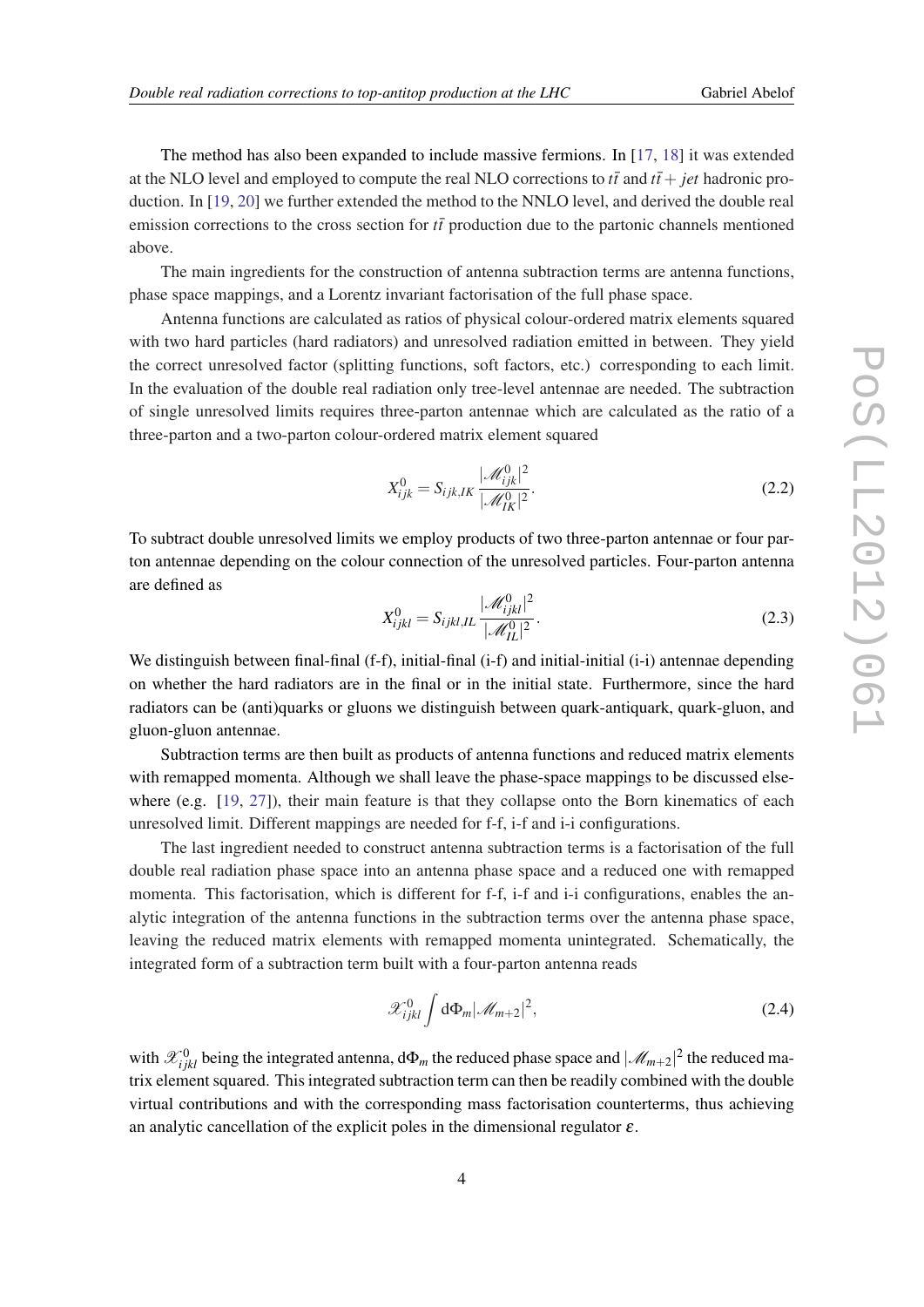The method has also been expanded to include massive fermions. In [\[17,](#page-8-0) [18](#page-8-0)] it was extended at the NLO level and employed to compute the real NLO corrections to  $t\bar{t}$  and  $t\bar{t}+ jet$  hadronic production. In [\[19](#page-8-0), [20](#page-8-0)] we further extended the method to the NNLO level, and derived the double real emission corrections to the cross section for  $t\bar{t}$  production due to the partonic channels mentioned above.

The main ingredients for the construction of antenna subtraction terms are antenna functions, phase space mappings, and a Lorentz invariant factorisation of the full phase space.

Antenna functions are calculated as ratios of physical colour-ordered matrix elements squared with two hard particles (hard radiators) and unresolved radiation emitted in between. They yield the correct unresolved factor (splitting functions, soft factors, etc.) corresponding to each limit. In the evaluation of the double real radiation only tree-level antennae are needed. The subtraction of single unresolved limits requires three-parton antennae which are calculated as the ratio of a three-parton and a two-parton colour-ordered matrix element squared

$$
X_{ijk}^{0} = S_{ijk,lK} \frac{|\mathcal{M}_{ijk}^{0}|^2}{|\mathcal{M}_{IK}^{0}|^2}.
$$
 (2.2)

To subtract double unresolved limits we employ products of two three-parton antennae or four parton antennae depending on the colour connection of the unresolved particles. Four-parton antenna are defined as

$$
X_{ijkl}^0 = S_{ijkl,IL} \frac{|\mathcal{M}_{ijkl}^0|^2}{|\mathcal{M}_{IL}^0|^2}.
$$
 (2.3)

We distinguish between final-final (f-f), initial-final (i-f) and initial-initial (i-i) antennae depending on whether the hard radiators are in the final or in the initial state. Furthermore, since the hard radiators can be (anti)quarks or gluons we distinguish between quark-antiquark, quark-gluon, and gluon-gluon antennae.

Subtraction terms are then built as products of antenna functions and reduced matrix elements with remapped momenta. Although we shall leave the phase-space mappings to be discussed else-where (e.g. [\[19](#page-8-0), [27\]](#page-8-0)), their main feature is that they collapse onto the Born kinematics of each unresolved limit. Different mappings are needed for f-f, i-f and i-i configurations.

The last ingredient needed to construct antenna subtraction terms is a factorisation of the full double real radiation phase space into an antenna phase space and a reduced one with remapped momenta. This factorisation, which is different for f-f, i-f and i-i configurations, enables the analytic integration of the antenna functions in the subtraction terms over the antenna phase space, leaving the reduced matrix elements with remapped momenta unintegrated. Schematically, the integrated form of a subtraction term built with a four-parton antenna reads

$$
\mathscr{X}_{ijkl}^0 \int d\Phi_m |\mathscr{M}_{m+2}|^2, \qquad (2.4)
$$

with  $\mathscr{X}_{ijkl}^0$  being the integrated antenna,  $d\Phi_m$  the reduced phase space and  $|\mathscr{M}_{m+2}|^2$  the reduced matrix element squared. This integrated subtraction term can then be readily combined with the double virtual contributions and with the corresponding mass factorisation counterterms, thus achieving an analytic cancellation of the explicit poles in the dimensional regulator  $\varepsilon$ .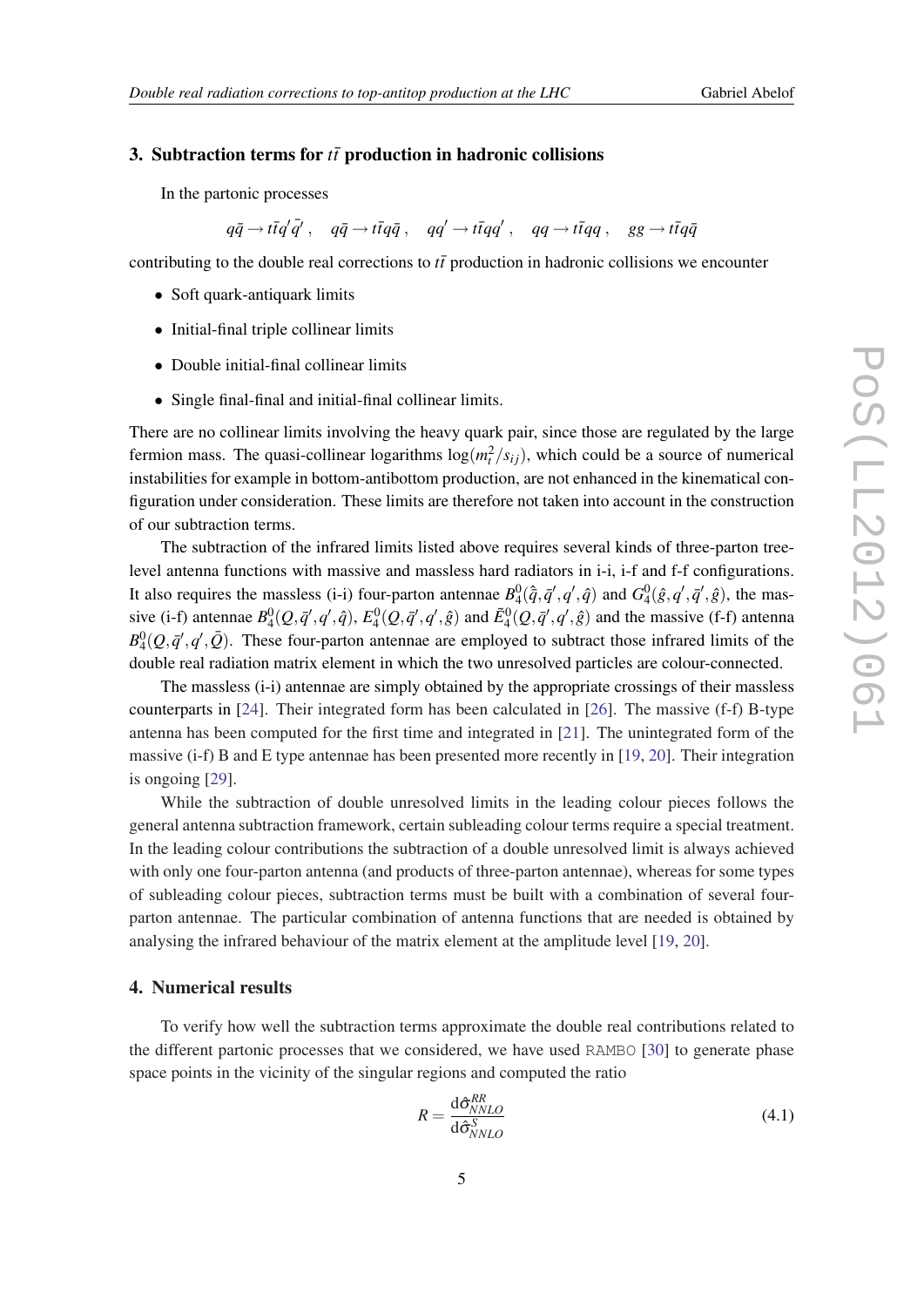#### 3. Subtraction terms for  $t\bar{t}$  production in hadronic collisions

In the partonic processes

 $q\bar{q} \rightarrow t\bar{t}q'\bar{q}'$ ,  $q\bar{q} \rightarrow t\bar{t}q\bar{q}$ ,  $qq' \rightarrow t\bar{t}qq'$ ,  $qq \rightarrow t\bar{t}qq$ ,  $gg \rightarrow t\bar{t}q\bar{q}$ 

contributing to the double real corrections to  $t\bar{t}$  production in hadronic collisions we encounter

- Soft quark-antiquark limits
- Initial-final triple collinear limits
- Double initial-final collinear limits
- Single final-final and initial-final collinear limits.

There are no collinear limits involving the heavy quark pair, since those are regulated by the large fermion mass. The quasi-collinear logarithms  $log(m_t^2/s_{ij})$ , which could be a source of numerical instabilities for example in bottom-antibottom production, are not enhanced in the kinematical configuration under consideration. These limits are therefore not taken into account in the construction of our subtraction terms.

The subtraction of the infrared limits listed above requires several kinds of three-parton treelevel antenna functions with massive and massless hard radiators in i-i, i-f and f-f configurations. It also requires the massless (i-i) four-parton antennae  $B_4^0(\hat{q}, \bar{q}', q', \hat{q})$  and  $G_4^0(\hat{g}, q', \bar{q}', \hat{g})$ , the massive (i-f) antennae  $B_4^0(Q, \bar{q}', q', \hat{q})$ ,  $E_4^0(Q, \bar{q}', q', \hat{g})$  and  $\tilde{E}_4^0(Q, \bar{q}', q', \hat{g})$  and the massive (f-f) antenna  $B_4^0(Q, \bar{q}', q', \bar{Q})$ . These four-parton antennae are employed to subtract those infrared limits of the double real radiation matrix element in which the two unresolved particles are colour-connected.

The massless (i-i) antennae are simply obtained by the appropriate crossings of their massless counterparts in [[24\]](#page-8-0). Their integrated form has been calculated in [\[26](#page-8-0)]. The massive (f-f) B-type antenna has been computed for the first time and integrated in [[21\]](#page-8-0). The unintegrated form of the massive (i-f) B and E type antennae has been presented more recently in [[19,](#page-8-0) [20](#page-8-0)]. Their integration is ongoing [\[29](#page-8-0)].

While the subtraction of double unresolved limits in the leading colour pieces follows the general antenna subtraction framework, certain subleading colour terms require a special treatment. In the leading colour contributions the subtraction of a double unresolved limit is always achieved with only one four-parton antenna (and products of three-parton antennae), whereas for some types of subleading colour pieces, subtraction terms must be built with a combination of several fourparton antennae. The particular combination of antenna functions that are needed is obtained by analysing the infrared behaviour of the matrix element at the amplitude level [[19,](#page-8-0) [20](#page-8-0)].

#### 4. Numerical results

To verify how well the subtraction terms approximate the double real contributions related to the different partonic processes that we considered, we have used RAMBO [\[30\]](#page-8-0) to generate phase space points in the vicinity of the singular regions and computed the ratio

$$
R = \frac{\mathrm{d}\hat{\sigma}_{NNLO}^{RR}}{\mathrm{d}\hat{\sigma}_{NNLO}^{S}} \tag{4.1}
$$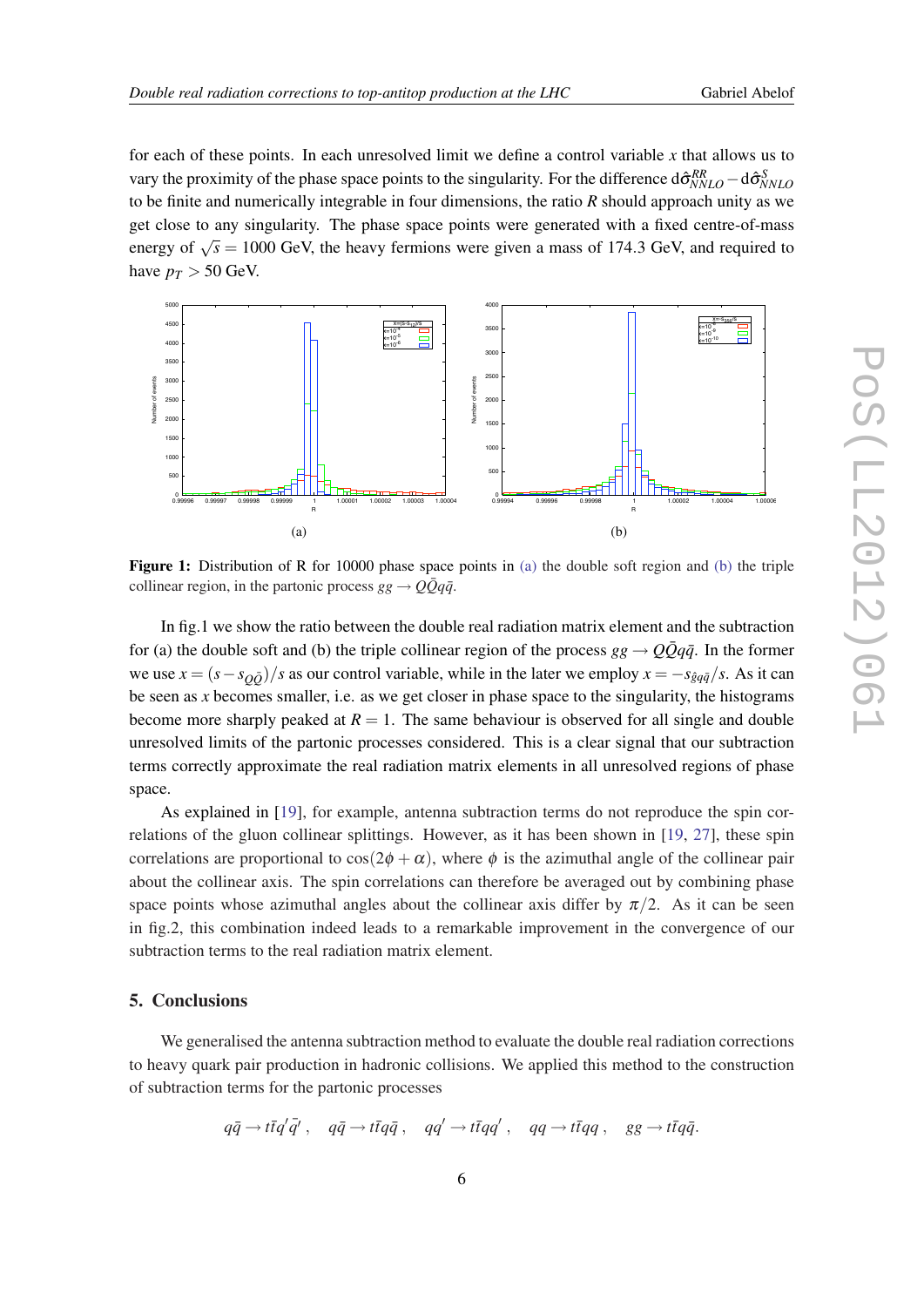for each of these points. In each unresolved limit we define a control variable *x* that allows us to vary the proximity of the phase space points to the singularity. For the difference  $d\hat{\sigma}_{NNLO}^{RR} - d\hat{\sigma}_{NNLO}^{S}$ to be finite and numerically integrable in four dimensions, the ratio *R* should approach unity as we get close to any singularity. The phase space points were generated with a fixed centre-of-mass energy of  $\sqrt{s} = 1000$  GeV, the heavy fermions were given a mass of 174.3 GeV, and required to have  $p_T > 50$  GeV.



Figure 1: Distribution of R for 10000 phase space points in [\(a\)](#page-0-0) the double soft region and [\(b\)](#page-0-0) the triple collinear region, in the partonic process  $gg \rightarrow Q\bar{Q}q\bar{q}$ .

In fig.1 we show the ratio between the double real radiation matrix element and the subtraction for (a) the double soft and (b) the triple collinear region of the process  $gg \rightarrow Q\bar{Q}q\bar{q}$ . In the former we use  $x = (s - s_{\theta \bar{\theta}})/s$  as our control variable, while in the later we employ  $x = -s_{\hat{g}q\bar{q}}/s$ . As it can be seen as *x* becomes smaller, i.e. as we get closer in phase space to the singularity, the histograms become more sharply peaked at  $R = 1$ . The same behaviour is observed for all single and double unresolved limits of the partonic processes considered. This is a clear signal that our subtraction terms correctly approximate the real radiation matrix elements in all unresolved regions of phase space.

As explained in [\[19](#page-8-0)], for example, antenna subtraction terms do not reproduce the spin correlations of the gluon collinear splittings. However, as it has been shown in [[19,](#page-8-0) [27\]](#page-8-0), these spin correlations are proportional to  $\cos(2\phi + \alpha)$ , where  $\phi$  is the azimuthal angle of the collinear pair about the collinear axis. The spin correlations can therefore be averaged out by combining phase space points whose azimuthal angles about the collinear axis differ by  $\pi/2$ . As it can be seen in fig.2, this combination indeed leads to a remarkable improvement in the convergence of our subtraction terms to the real radiation matrix element.

#### 5. Conclusions

We generalised the antenna subtraction method to evaluate the double real radiation corrections to heavy quark pair production in hadronic collisions. We applied this method to the construction of subtraction terms for the partonic processes

$$
q\bar{q} \to t\bar{t}q'\bar{q}', \quad q\bar{q} \to t\bar{t}q\bar{q} \ , \quad qq' \to t\bar{t}qq' \ , \quad qq \to t\bar{t}qq \ , \quad gg \to t\bar{t}q\bar{q}.
$$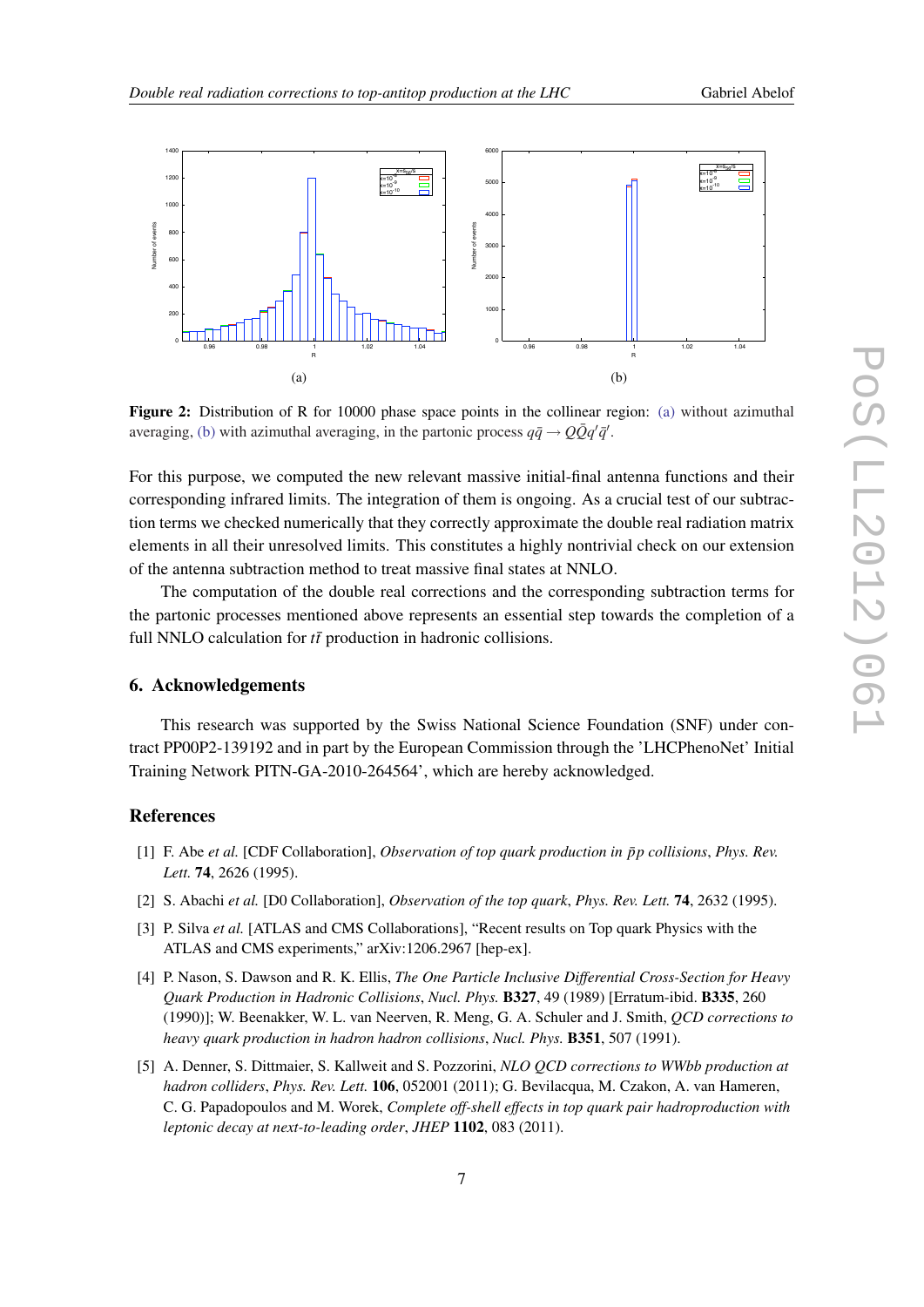<span id="page-6-0"></span>

Figure 2: Distribution of R for 10000 phase space points in the collinear region: [\(a\)](#page-0-0) without azimuthal averaging, [\(b\)](#page-0-0) with azimuthal averaging, in the partonic process  $q\bar{q} \rightarrow Q\bar{Q}q'\bar{q}'$ .

For this purpose, we computed the new relevant massive initial-final antenna functions and their corresponding infrared limits. The integration of them is ongoing. As a crucial test of our subtraction terms we checked numerically that they correctly approximate the double real radiation matrix elements in all their unresolved limits. This constitutes a highly nontrivial check on our extension of the antenna subtraction method to treat massive final states at NNLO.

The computation of the double real corrections and the corresponding subtraction terms for the partonic processes mentioned above represents an essential step towards the completion of a full NNLO calculation for  $t\bar{t}$  production in hadronic collisions.

#### 6. Acknowledgements

This research was supported by the Swiss National Science Foundation (SNF) under contract PP00P2-139192 and in part by the European Commission through the 'LHCPhenoNet' Initial Training Network PITN-GA-2010-264564', which are hereby acknowledged.

#### References

- [1] F. Abe *et al.* [CDF Collaboration], *Observation of top quark production in*  $\bar{p}p$  collisions, *Phys. Rev. Lett.* 74, 2626 (1995).
- [2] S. Abachi *et al.* [D0 Collaboration], *Observation of the top quark*, *Phys. Rev. Lett.* 74, 2632 (1995).
- [3] P. Silva *et al.* [ATLAS and CMS Collaborations], "Recent results on Top quark Physics with the ATLAS and CMS experiments," arXiv:1206.2967 [hep-ex].
- [4] P. Nason, S. Dawson and R. K. Ellis, *The One Particle Inclusive Differential Cross-Section for Heavy Quark Production in Hadronic Collisions*, *Nucl. Phys.* B327, 49 (1989) [Erratum-ibid. B335, 260 (1990)]; W. Beenakker, W. L. van Neerven, R. Meng, G. A. Schuler and J. Smith, *QCD corrections to heavy quark production in hadron hadron collisions*, *Nucl. Phys.* B351, 507 (1991).
- [5] A. Denner, S. Dittmaier, S. Kallweit and S. Pozzorini, *NLO QCD corrections to WWbb production at hadron colliders*, *Phys. Rev. Lett.* 106, 052001 (2011); G. Bevilacqua, M. Czakon, A. van Hameren, C. G. Papadopoulos and M. Worek, *Complete off-shell effects in top quark pair hadroproduction with leptonic decay at next-to-leading order*, *JHEP* 1102, 083 (2011).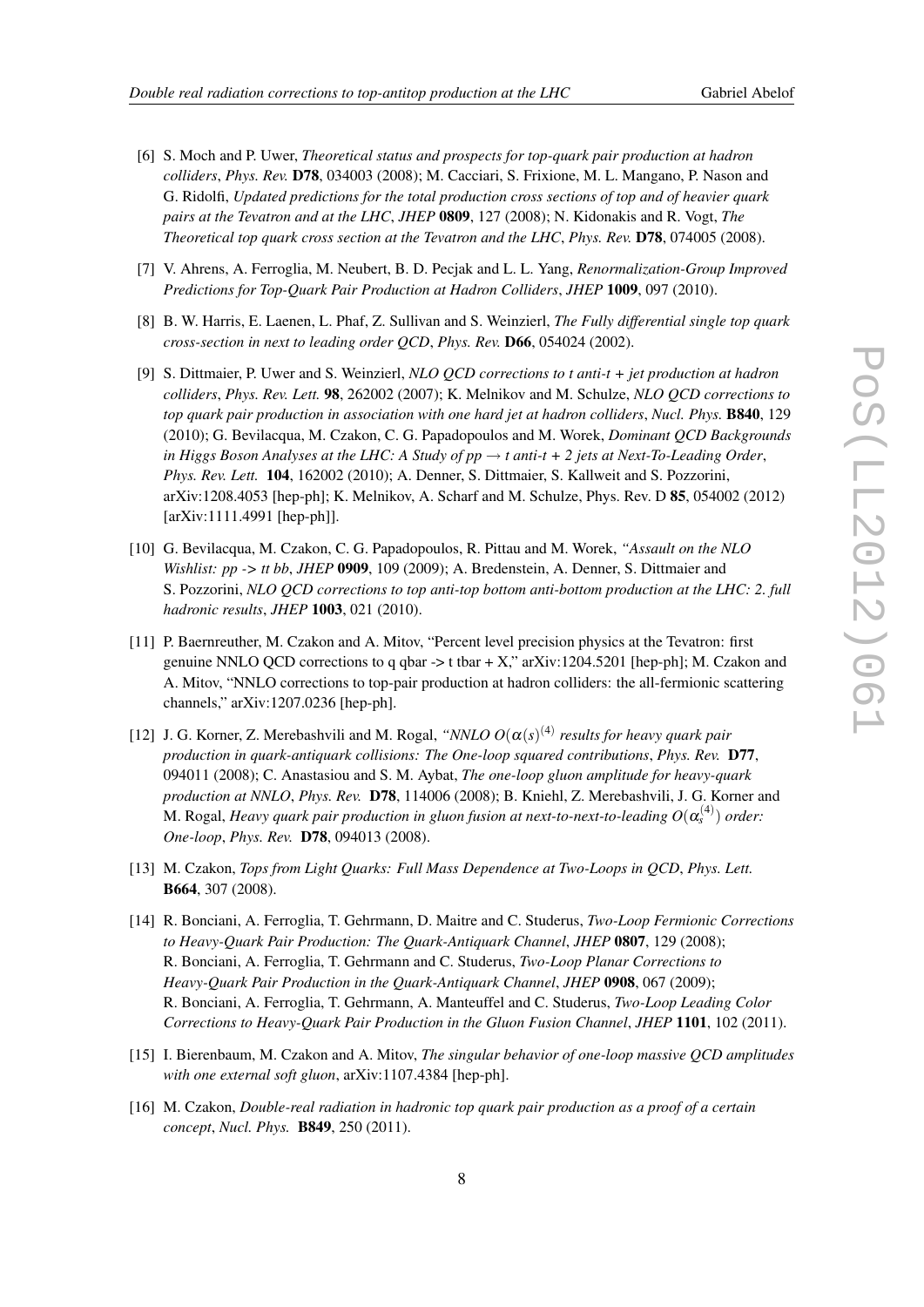- 
- <span id="page-7-0"></span>[6] S. Moch and P. Uwer, *Theoretical status and prospects for top-quark pair production at hadron colliders*, *Phys. Rev.* D78, 034003 (2008); M. Cacciari, S. Frixione, M. L. Mangano, P. Nason and G. Ridolfi, *Updated predictions for the total production cross sections of top and of heavier quark pairs at the Tevatron and at the LHC*, *JHEP* 0809, 127 (2008); N. Kidonakis and R. Vogt, *The Theoretical top quark cross section at the Tevatron and the LHC*, *Phys. Rev.* D78, 074005 (2008).
- [7] V. Ahrens, A. Ferroglia, M. Neubert, B. D. Pecjak and L. L. Yang, *Renormalization-Group Improved Predictions for Top-Quark Pair Production at Hadron Colliders*, *JHEP* 1009, 097 (2010).
- [8] B. W. Harris, E. Laenen, L. Phaf, Z. Sullivan and S. Weinzierl, *The Fully differential single top quark cross-section in next to leading order QCD*, *Phys. Rev.* D66, 054024 (2002).
- [9] S. Dittmaier, P. Uwer and S. Weinzierl, *NLO QCD corrections to t anti-t + jet production at hadron colliders*, *Phys. Rev. Lett.* 98, 262002 (2007); K. Melnikov and M. Schulze, *NLO QCD corrections to top quark pair production in association with one hard jet at hadron colliders*, *Nucl. Phys.* B840, 129 (2010); G. Bevilacqua, M. Czakon, C. G. Papadopoulos and M. Worek, *Dominant QCD Backgrounds in Higgs Boson Analyses at the LHC: A Study of*  $pp \rightarrow t$  *anti-t + 2 jets at Next-To-Leading Order, Phys. Rev. Lett.* 104, 162002 (2010); A. Denner, S. Dittmaier, S. Kallweit and S. Pozzorini, arXiv:1208.4053 [hep-ph]; K. Melnikov, A. Scharf and M. Schulze, Phys. Rev. D 85, 054002 (2012) [arXiv:1111.4991 [hep-ph]].
- [10] G. Bevilacqua, M. Czakon, C. G. Papadopoulos, R. Pittau and M. Worek, *"Assault on the NLO Wishlist: pp -> tt bb*, *JHEP* 0909, 109 (2009); A. Bredenstein, A. Denner, S. Dittmaier and S. Pozzorini, *NLO QCD corrections to top anti-top bottom anti-bottom production at the LHC: 2. full hadronic results*, *JHEP* 1003, 021 (2010).
- [11] P. Baernreuther, M. Czakon and A. Mitov, "Percent level precision physics at the Tevatron: first genuine NNLO QCD corrections to q qbar  $\rightarrow$  t tbar + X," arXiv:1204.5201 [hep-ph]; M. Czakon and A. Mitov, "NNLO corrections to top-pair production at hadron colliders: the all-fermionic scattering channels," arXiv:1207.0236 [hep-ph].
- [12] J. G. Korner, Z. Merebashvili and M. Rogal, " $NNLO O(\alpha(s)^{(4)}$  results for heavy quark pair *production in quark-antiquark collisions: The One-loop squared contributions*, *Phys. Rev.* D77, 094011 (2008); C. Anastasiou and S. M. Aybat, *The one-loop gluon amplitude for heavy-quark production at NNLO*, *Phys. Rev.* D78, 114006 (2008); B. Kniehl, Z. Merebashvili, J. G. Korner and M. Rogal, *Heavy quark pair production in gluon fusion at next-to-next-to-leading*  $O(\alpha_s^{(4)})$  *order: One-loop*, *Phys. Rev.* D78, 094013 (2008).
- [13] M. Czakon, *Tops from Light Quarks: Full Mass Dependence at Two-Loops in QCD*, *Phys. Lett.* B664, 307 (2008).
- [14] R. Bonciani, A. Ferroglia, T. Gehrmann, D. Maitre and C. Studerus, *Two-Loop Fermionic Corrections to Heavy-Quark Pair Production: The Quark-Antiquark Channel*, *JHEP* 0807, 129 (2008); R. Bonciani, A. Ferroglia, T. Gehrmann and C. Studerus, *Two-Loop Planar Corrections to Heavy-Quark Pair Production in the Quark-Antiquark Channel*, *JHEP* 0908, 067 (2009); R. Bonciani, A. Ferroglia, T. Gehrmann, A. Manteuffel and C. Studerus, *Two-Loop Leading Color Corrections to Heavy-Quark Pair Production in the Gluon Fusion Channel*, *JHEP* 1101, 102 (2011).
- [15] I. Bierenbaum, M. Czakon and A. Mitov, *The singular behavior of one-loop massive QCD amplitudes with one external soft gluon*, arXiv:1107.4384 [hep-ph].
- [16] M. Czakon, *Double-real radiation in hadronic top quark pair production as a proof of a certain concept*, *Nucl. Phys.* B849, 250 (2011).